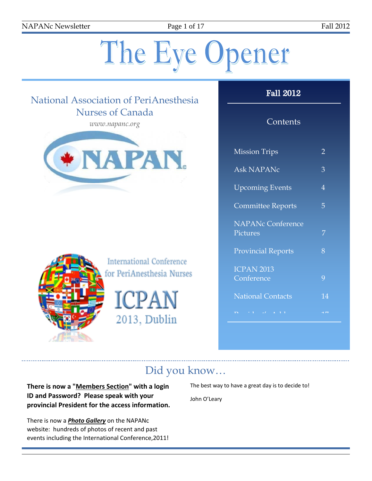NAPANc Newsletter Page 1 of 17 Fall 2012

# The Eye Opener

## National Association of PeriAnesthesia Nurses of Canada

*www.napanc.org*





**International Conference** for PeriAnesthesia Nurses

ICPAN 2013, Dublin

## Fall 2012

## **Contents**

| <b>Mission Trips</b>      | 2  |
|---------------------------|----|
| <b>Ask NAPANc</b>         | 3  |
| <b>Upcoming Events</b>    | 4  |
| <b>Committee Reports</b>  | 5  |
| <b>NAPANc Conference</b>  |    |
| Pictures                  | 7  |
| <b>Provincial Reports</b> | 8  |
| <b>ICPAN 2013</b>         |    |
| Conference                | 9  |
| <b>National Contacts</b>  | 14 |
|                           |    |

# Did you know…

**There is now a "Members Section" with a login ID and Password? Please speak with your provincial President for the access information.**

There is now a *Photo Gallery* on the NAPANc website: hundreds of photos of recent and past events including the International Conference,2011! The best way to have a great day is to decide to!

John O'Leary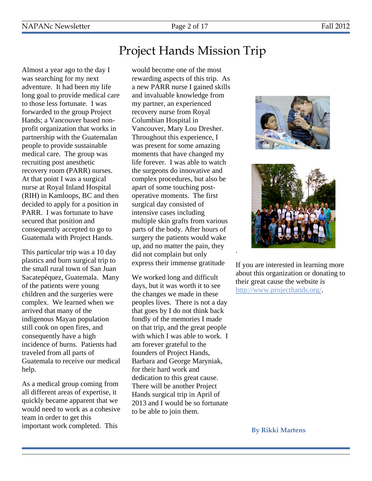# Project Hands Mission Trip

Almost a year ago to the day I was searching for my next adventure. It had been my life long goal to provide medical care to those less fortunate. I was forwarded to the group Project Hands; a Vancouver based nonprofit organization that works in partnership with the Guatemalan people to provide sustainable medical care. The group was recruiting post anesthetic recovery room (PARR) nurses. At that point I was a surgical nurse at Royal Inland Hospital (RIH) in Kamloops, BC and then decided to apply for a position in PARR. I was fortunate to have secured that position and consequently accepted to go to Guatemala with Project Hands.

This particular trip was a 10 day plastics and burn surgical trip to the small rural town of San Juan Sacatepéquez, Guatemala. Many of the patients were young children and the surgeries were complex. We learned when we arrived that many of the indigenous Mayan population still cook on open fires, and consequently have a high incidence of burns. Patients had traveled from all parts of Guatemala to receive our medical help.

As a medical group coming from all different areas of expertise, it quickly became apparent that we would need to work as a cohesive team in order to get this important work completed. This

would become one of the most rewarding aspects of this trip. As a new PARR nurse I gained skills and invaluable knowledge from my partner, an experienced recovery nurse from Royal Columbian Hospital in Vancouver, Mary Lou Dresher. Throughout this experience, I was present for some amazing moments that have changed my life forever. I was able to watch the surgeons do innovative and complex procedures, but also be apart of some touching postoperative moments. The first surgical day consisted of intensive cases including multiple skin grafts from various parts of the body. After hours of surgery the patients would wake up, and no matter the pain, they did not complain but only express their immense gratitude

We worked long and difficult days, but it was worth it to see the changes we made in these peoples lives. There is not a day that goes by I do not think back fondly of the memories I made on that trip, and the great people with which I was able to work. I am forever grateful to the founders of Project Hands, Barbara and George Maryniak, for their hard work and dedication to this great cause. There will be another Project Hands surgical trip in April of 2013 and I would be so fortunate to be able to join them.





If you are interested in learning more about this organization or donating to their great cause the website is [http://www.projecthands.org/.](http://www.projecthands.org/)

.

**By Rikki Martens**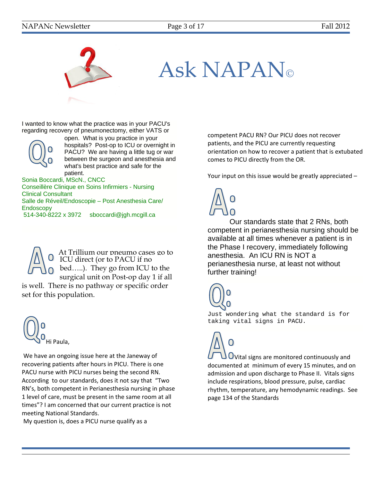

# Ask NAPAN

I wanted to know what the practice was in your PACU's regarding recovery of pneumonectomy, either VATS or



open. What is you practice in your hospitals? Post-op to ICU or overnight in PACU? We are having a little tug or war between the surgeon and anesthesia and what's best practice and safe for the patient.

Sonia Boccardi, MScN., CNCC

Conseillère Clinique en Soins Infirmiers - Nursing Clinical Consultant Salle de Réveil/Endoscopie – Post Anesthesia Care/ Endoscopy 514-340-8222 x 3972 sboccardi@jgh.mcgill.ca



At Trillium our pneumo cases go to ICU direct (or to PACU if no bed…..). They go from ICU to the surgical unit on Post-op day 1 if all

is well. There is no pathway or specific order set for this population.



We have an ongoing issue here at the Janeway of recovering patients after hours in PICU. There is one PACU nurse with PICU nurses being the second RN. According to our standards, does it not say that "Two RN's, both competent in Perianesthesia nursing in phase 1 level of care, must be present in the same room at all times"? I am concerned that our current practice is not meeting National Standards.

My question is, does a PICU nurse qualify as a

competent PACU RN? Our PICU does not recover patients, and the PICU are currently requesting orientation on how to recover a patient that is extubated comes to PICU directly from the OR.

Your input on this issue would be greatly appreciated –



Our standards state that 2 RNs, both competent in perianesthesia nursing should be available at all times whenever a patient is in the Phase I recovery, immediately following anesthesia. An ICU RN is NOT a perianesthesia nurse, at least not without further training!



Just wondering what the standard is for taking vital signs in PACU.

UVital signs are monitored continuously and documented at minimum of every 15 minutes, and on admission and upon discharge to Phase II. Vitals signs include respirations, blood pressure, pulse, cardiac rhythm, temperature, any hemodynamic readings. See page 134 of the Standards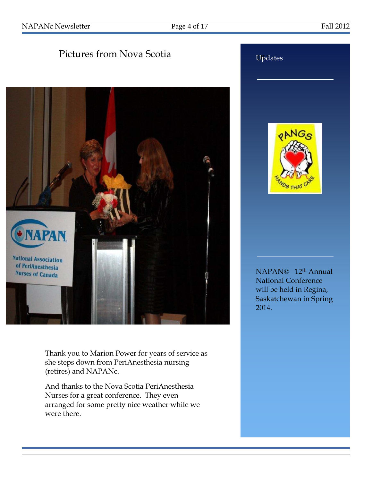## Pictures from Nova Scotia



Thank you to Marion Power for years of service as she steps down from PeriAnesthesia nursing (retires) and NAPANc.

And thanks to the Nova Scotia PeriAnesthesia Nurses for a great conference. They even arranged for some pretty nice weather while we were there.



Updates

NAPAN<sup>©</sup> 12<sup>th</sup> Annual National Conference will be held in Regina, Saskatchewan in Spring 2014.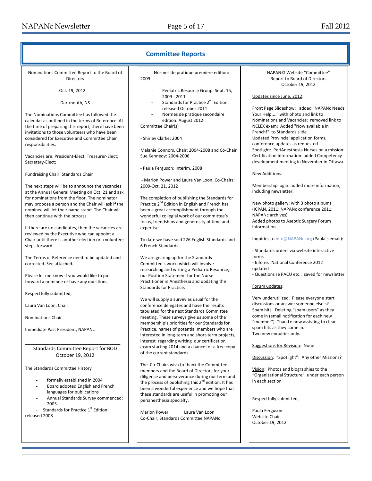| <b>Committee Reports</b>                                                                                                                                                                                                                                                                                                                                                                                                                                                                                                                                                                                                                                                                                                                                                                                                                                                                                                                                                                                                                                                                                                                                                                                                                                                                  |                                                                                                                                                                                                                                                                                                                                                                                                                                                                                                                                                                                                                                                                                                                                                                                                                                                                                                                                                                                                                                                                                                                                                                                                                                                                                                                                                                                                                             |                                                                                                                                                                                                                                                                                                                                                                                                                                                                                                                                                                                                                                                                                                                                                                                                                                                                                                                                                                                                                                                                                                                                                                                                                                                                                                                              |  |
|-------------------------------------------------------------------------------------------------------------------------------------------------------------------------------------------------------------------------------------------------------------------------------------------------------------------------------------------------------------------------------------------------------------------------------------------------------------------------------------------------------------------------------------------------------------------------------------------------------------------------------------------------------------------------------------------------------------------------------------------------------------------------------------------------------------------------------------------------------------------------------------------------------------------------------------------------------------------------------------------------------------------------------------------------------------------------------------------------------------------------------------------------------------------------------------------------------------------------------------------------------------------------------------------|-----------------------------------------------------------------------------------------------------------------------------------------------------------------------------------------------------------------------------------------------------------------------------------------------------------------------------------------------------------------------------------------------------------------------------------------------------------------------------------------------------------------------------------------------------------------------------------------------------------------------------------------------------------------------------------------------------------------------------------------------------------------------------------------------------------------------------------------------------------------------------------------------------------------------------------------------------------------------------------------------------------------------------------------------------------------------------------------------------------------------------------------------------------------------------------------------------------------------------------------------------------------------------------------------------------------------------------------------------------------------------------------------------------------------------|------------------------------------------------------------------------------------------------------------------------------------------------------------------------------------------------------------------------------------------------------------------------------------------------------------------------------------------------------------------------------------------------------------------------------------------------------------------------------------------------------------------------------------------------------------------------------------------------------------------------------------------------------------------------------------------------------------------------------------------------------------------------------------------------------------------------------------------------------------------------------------------------------------------------------------------------------------------------------------------------------------------------------------------------------------------------------------------------------------------------------------------------------------------------------------------------------------------------------------------------------------------------------------------------------------------------------|--|
| Nominations Committee Report to the Board of<br><b>Directors</b><br>Oct. 19, 2012<br>Dartmouth, NS<br>The Nominations Committee has followed the<br>calendar as outlined in the terms of Reference. At<br>the time of preparing this report, there have been<br>invitations to those volunteers who have been<br>considered for Executive and Committee Chair<br>responsibilities.<br>Vacancies are: President-Elect; Treasurer-Elect;<br>Secretary-Elect;<br><b>Fundraising Chair; Standards Chair</b><br>The next steps will be to announce the vacancies<br>at the Annual General Meeting on Oct. 21 and ask<br>for nominations from the floor. The nominator<br>may propose a person and the Chair will ask if the<br>nominee will let their name stand. The Chair will<br>then continue with the process.<br>If there are no candidates, then the vacancies are<br>reviewed by the Executive who can appoint a<br>Chair until there is another election or a volunteer<br>steps forward.<br>The Terms of Reference need to be updated and<br>corrected. See attached.<br>Please let me know if you would like to put<br>forward a nominee or have any questions.<br>Respectfully submitted,<br>Laura Van Loon, Chair<br><b>Nominations Chair</b><br>Immediate Past President, NAPANc | Normes de pratique premiere edition:<br>2009<br>Pediatric Resource Group: Sept. 15,<br>2009 - 2011<br>Standards for Practice 2 <sup>nd</sup> Edition:<br>released October 2011<br>Normes de pratique secondaire<br>edition: August 2012<br>Committee Chair(s)<br>- Shirley Clarke: 2004<br>Melanie Connors, Chair: 2004-2008 and Co-Chair<br>Sue Kennedy: 2004-2006<br>- Paula Ferguson: Interim, 2008<br>- Marion Power and Laura Van Loon, Co-Chairs:<br>2009-Oct. 21, 2012<br>The completion of publishing the Standards for<br>Practice 2 <sup>nd</sup> Edition in English and French has<br>been a great accomplishment through the<br>wonderful collegial work of our committee's<br>focus, friendships and generosity of time and<br>expertise.<br>To date we have sold 226 English Standards and<br>6 French Standards.<br>We are gearing up for the Standards<br>Committee's work, which will involve<br>researching and writing a Pediatric Resource,<br>our Position Statement for the Nurse<br>Practitioner in Anesthesia and updating the<br>Standards for Practice.<br>We will supply a survey as usual for the<br>conference delegates and have the results<br>tabulated for the next Standards Committee<br>meeting. These surveys give us some of the<br>membership's priorities for our Standards for<br>Practice, names of potential members who are<br>interested in long-term and short-term projects, | NAPAN© Website "Committee"<br>Report to Board of Directors<br>October 19, 2012<br>Updates since June, 2012:<br>Front Page Slideshow: added "NAPANc Needs<br>Your Help" with photo and link to<br>Nominations and Vacancies; removed link to<br>NCLEX exam; Added "Now available in<br>French!" to Standards slide<br>Updated Provincial application forms,<br>conference updates as requested<br>Spotlight: PeriAnesthesia Nurses on a mission:<br>Certification Information: added Competency<br>development meeting in November in Ottawa<br><b>New Additions:</b><br>Membership login: added more information,<br>including newsletter.<br>New photo gallery: with 3 photo albums<br>(ICPAN, 2011; NAPANc conference 2011;<br>NAPANc archives)<br>Added photos to Aseptic Surgery Forum<br>information.<br>Inquiries to info@NAPANc.org (Paula's email):<br>- Standards orders via website interactive<br>forms<br>- Info re: National Conference 2012<br>updated<br>- Questions re PACU etc.: saved for newsletter<br>Forum updates:<br>Very underutilized. Please everyone start<br>discussions or answer someone else's?<br>Spam hits. Deleting "spam users" as they<br>come in (email notification for each new<br>"member"). Thao Le now assisting to clear<br>spam hits as they come in.<br>Two new enquiries only. |  |
| Standards Committee Report for BOD                                                                                                                                                                                                                                                                                                                                                                                                                                                                                                                                                                                                                                                                                                                                                                                                                                                                                                                                                                                                                                                                                                                                                                                                                                                        | interest regarding writing our certification<br>exam starting 2014 and a chance for a free copy                                                                                                                                                                                                                                                                                                                                                                                                                                                                                                                                                                                                                                                                                                                                                                                                                                                                                                                                                                                                                                                                                                                                                                                                                                                                                                                             | Suggestions for Revision: None                                                                                                                                                                                                                                                                                                                                                                                                                                                                                                                                                                                                                                                                                                                                                                                                                                                                                                                                                                                                                                                                                                                                                                                                                                                                                               |  |
| October 19, 2012<br>The Standards Committee History<br>formally established in 2004<br>Board adopted English and French<br>languages for publications<br>Annual Standards Survey commenced:<br>2005<br>Standards for Practice 1 <sup>st</sup> Edition:<br>released 2008                                                                                                                                                                                                                                                                                                                                                                                                                                                                                                                                                                                                                                                                                                                                                                                                                                                                                                                                                                                                                   | of the current standards.<br>The Co-Chairs wish to thank the Committee<br>members and the Board of Directors for your<br>diligence and perseverance during our term and<br>the process of publishing this 2 <sup>nd</sup> edition. It has<br>been a wonderful experience and we hope that<br>these standards are useful in promoting our<br>perianesthesia specialty.<br><b>Marion Power</b><br>Laura Van Loon<br>Co-Chair, Standards Committee NAPANc                                                                                                                                                                                                                                                                                                                                                                                                                                                                                                                                                                                                                                                                                                                                                                                                                                                                                                                                                                      | Discussion: "Spotlight": Any other Missions?<br>Vision: Photos and biographies to the<br>"Organizational Structure", under each person<br>in each section<br>Respectfully submitted,<br>Paula Ferguson<br>Website Chair<br>October 19, 2012                                                                                                                                                                                                                                                                                                                                                                                                                                                                                                                                                                                                                                                                                                                                                                                                                                                                                                                                                                                                                                                                                  |  |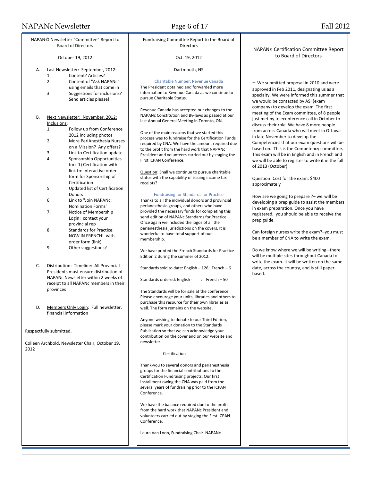### NAPANc Newsletter Page 6 of 17 Fall 2012

NAPAN© Newsletter "Committee" Report to Board of Directors

October 19, 2012

- A. Last Newsletter: September, 2012:
	- 1. Content? Articles? 2. Content of "Ask NAPANc":
	- using emails that come in
	- 3. Suggestions for inclusions? Send articles please!
- B. Next Newsletter: November, 2012: Inclusions:
	- 1. Follow up from Conference 2012 including photos
	- 2. More PeriAnesthesia Nurses on a Mission? Any offers?
	- 3. Link to Certification update 4. Sponsorship Opportunities for: 1) Certification with link to: interactive order form for Sponsorship of Certification
	- 5. Updated list of Certification Donors
	- 6. Link to "Join NAPANc: Nomination Forms"
	- 7. Notice of Membership Login: contact your provincial rep 8. Standards for Practice:
	- NOW IN FRENCH! with order form (link) 9. Other suggestions?
- C. Distribution: Timeline: All Provincial Presidents must ensure distribution of NAPANc Newsletter within 2 weeks of receipt to all NAPANc members in their provinces
- D. Members Only Login: Full newsletter, financial information

Respectfully submitted,

Colleen Archbold, Newsletter Chair, October 19, 2012

Fundraising Committee Report to the Board of **Directors** 

#### Oct. 19, 2012

#### Dartmouth, NS

#### Charitable Number: Revenue Canada

The President obtained and forwarded more information to Revenue Canada as we continue to pursue Charitable Status.

Revenue Canada has accepted our changes to the NAPANc Constitution and By-laws as passed at our last Annual General Meeting in Toronto, ON.

One of the main reasons that we started this process was to fundraise for the Certification Funds required by CNA. We have the amount required due to the profit from the hard work that NAPANc President and volunteers carried out by staging the First ICPAN Conference.

Question: Shall we continue to pursue charitable status with the capability of issuing income tax receipts?

#### Fundraising for Standards for Practice

Thanks to all the individual donors and provincial perianesthesia groups, and others who have provided the necessary funds for completing this send edition of NAPANc Standards for Practice. Once again we included the logos of all the perianesthesia jurisdictions on the covers. It is wonderful to have total support of our membership.

We have printed the French Standards for Practice Edition 2 during the summer of 2012.

Standards sold to date: English  $-126$ ; French  $-6$ 

Standards ordered: English - : French - 50

The Standards will be for sale at the conference. Please encourage your units, libraries and others to purchase this resource for their own libraries as well. The form remains on the website.

Anyone wishing to donate to our Third Edition, please mark your donation to the Standards Publication so that we can acknowledge your contribution on the cover and on our website and newsletter.

#### Certification

Thank-you to several donors and perianesthesia groups for the financial contributions to the Certification Fundraising projects. Our first installment owing the CNA was paid from the several years of fundraising prior to the ICPAN Conference.

We have the balance required due to the profit from the hard work that NAPANc President and volunteers carried out by staging the First ICPAN Conference.

Laura Van Loon, Fundraising Chair NAPANc

#### NAPAN© Certification Committee Report to Board of Directors

– We submitted proposal in 2010 and were approved in Feb 2011, designating us as a specialty. We were informed this summer that we would be contacted by ASI (exam company) to develop the exam. The first meeting of the Exam committee, of 8 people just met by teleconference call in October to discuss their role. We have 8 more people from across Canada who will meet in Ottawa in late November to develop the Competencies that our exam questions will be based on. This is the Competency committee. This exam will be in English and in French and we will be able to register to write it in the fall of 2013 (October).

Question: Cost for the exam: \$400 approximately

How are we going to prepare ?– we will be developing a prep guide to assist the members in exam preparation. Once you have registered, you should be able to receive the prep guide.

Can foreign nurses write the exam?–you must be a member of CNA to write the exam.

Do we know where we will be writing –there will be multiple sites throughout Canada to write the exam. It will be written on the same date, across the country, and is still paper based.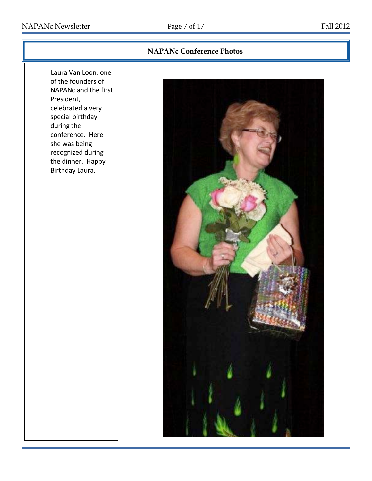## NAPANc Newsletter Page 7 of 17 Fall 2012

## **NAPANc Conference Photos**

Laura Van Loon, one of the founders of NAPANc and the first President, celebrated a very special birthday during the conference. Here she was being recognized during the dinner. Happy Birthday Laura.

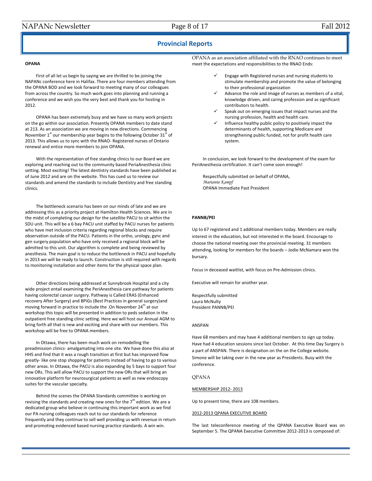#### **Provincial Reports**

#### **OPANA**

First of all let us begin by saying we are thrilled to be joining the NAPANc conference here in Halifax. There are four members attending from the OPANA BOD and we look forward to meeting many of our colleagues from across the country. So much work goes into planning and running a conference and we wish you the very best and thank you for hosting in 2012.

OPANA has been extremely busy and we have so many work projects on the go within our association. Presently OPANA members to date stand at 213. As an association we are moving in new directions. Commencing November  $1<sup>st</sup>$  our membership year begins to the following October 31 $<sup>st</sup>$  of</sup> 2013. This allows us to sync with the RNAO- Registered nurses of Ontario renewal and entice more members to join OPANA.

With the representation of free standing clinics to our Board we are exploring and reaching out to the community based PeriaAnesthesia clinic setting. Most exciting! The latest dentistry standards have been published as of June 2012 and are on the website. This has cued us to review our standards and amend the standards to include Dentistry and free standing clinics.

The bottleneck scenario has been on our minds of late and we are addressing this as a priority project at Hamilton Health Sciences. We are in the midst of completing our design for the satellite PACU to sit within the SDU unit. This will be a 6 bay PACU unit staffed by PACU nurses for patients who have met inclusion criteria regarding regional blocks and require observation outside of the PACU. Patients in the ortho, urology, gync and gen surgery population who have only received a regional block will be admitted to this unit. Our algorithm is complete and being reviewed by anesthesia. The main goal is to reduce the bottleneck in PACU and hopefully in 2013 we will be ready to launch. Construction is still required with regards to monitoring installation and other items for the physical space plan.

Other directions being addressed at Sunnybrook Hospital and a city wide project entail examining the PeriAnesthesia care pathway for patients having colorectal cancer surgery. Pathway is Called ERAS (Enhanced recovery After Surgery) and BPiGs (Best Practices in general surgery)and moving forward in practice to include the .On November  $24<sup>th</sup>$  at our workshop this topic will be presented in addition to peds sedation in the outpatient free standing clinic setting. Here we will host our Annual AGM to bring forth all that is new and exciting and share with our members. This workshop will be free to OPANA members.

In Ottawa, there has been much work on remodelling the preadmission clinics- amalgamating into one site. We have done this also at HHS and find that it was a rough transition at first but has improved flow greatly- like one stop shopping for patients instead of having to go to various other areas. In Ottawa, the PACU is also expanding by 5 bays to support four new ORs. This will allow PACU to support the new ORs that will bring an innovative platform for neurosurgical patients as well as new endoscopy suites for the vascular specialty.

Behind the scenes the OPANA Standards committee is working on revising the standards and creating new ones for the  $7<sup>th</sup>$  edition. We are a dedicated group who believe in continuing this important work as we find our PA nursing colleagues reach out to our standards for reference frequently and they continue to sell well providing us with revenue in return and promoting evidenced based nursing practice standards. A win win.

OPANA as an association affiliated with the RNAO continues to meet meet the expectations and responsibilities to the RNAO Ends:

- Engage with Registered nurses and nursing students to stimulate membership and promote the value of belonging to their professional organization
- Advance the role and image of nurses as members of a vital, knowledge driven, and caring profession and as significant contributors to health.
- Speak out on emerging issues that impact nurses and the nursing profession, health and health care.
- Influence healthy public policy to positively impact the determinants of health, supporting Medicare and strengthening public funded, not for profit health care system.

In conclusion, we look forward to the development of the exam for PeriAnesthesia certification. It can't come soon enough!

Respectfully submitted on behalf of OPANA, *Marianne Kampf* OPANA Immediate Past President

#### **PANNB/PEI**

Up to 67 registered and 1 additional members today. Members are really interest in the education, but not interested in the board. Encourage to choose the national meeting over the provincial meeting. 31 members attending, looking for members for the boards – Jodie McNamara won the bursary.

Focus in deceased waitlist, with focus on Pre-Admission clinics.

Executive will remain for another year.

Respectfully submitted Laura McNulty President PANNB/PEI

#### ANSPAN

Have 68 members and may have 4 additional members to sign up today. Have had 4 education sessions since last October. At this time Day Surgery is a part of ANSPAN. There is designation on the on the College website. Simone will be taking over in the new year as Presidents. Busy with the conference.

#### QPANA

#### MEMBERSHIP 2012- 2013

Up to present time, there are 108 members.

#### 2012-2013 QPANA EXECUTIVE BOARD

The last teleconference meeting of the QPANA Executive Board was on September 5. The QPANA Executive Committee 2012-2013 is composed of: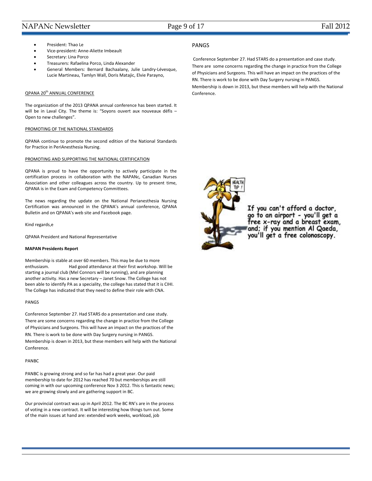### NAPANc Newsletter Page 9 of 17 Fall 2012

- President: Thao Le
- Vice-president: Anne-Aliette Imbeault
- Secretary: Lina Porco
- Treasurers: Rafaelina Porco, Linda Alexander
- General Members: Bernard Bachaalany, Julie Landry-Lévesque, Lucie Martineau, Tamlyn Wall, Doris Matajic, Elvie Parayno,

#### QPANA 20<sup>th</sup> ANNUAL CONFERENCE

The organization of the 2013 QPANA annual conference has been started. It will be in Laval City. The theme is: "Soyons ouvert aux nouveaux défis – Open to new challenges".

#### PROMOTING OF THE NATIONAL STANDARDS

QPANA continue to promote the second edition of the National Standards for Practice in PeriAnesthesia Nursing.

#### PROMOTING AND SUPPORTING THE NATIONAL CERTIFICATION

QPANA is proud to have the opportunity to actively participate in the certification process in collaboration with the NAPANc, Canadian Nurses Association and other colleagues across the country. Up to present time, QPANA is in the Exam and Competency Committees.

The news regarding the update on the National Perianesthesia Nursing Certification was announced in the QPANA's annual conference, QPANA Bulletin and on QPANA's web site and Facebook page.

Kind regards,e

QPANA President and National Representative

#### **MAPAN Presidents Report**

Membership is stable at over 60 members. This may be due to more enthusiasm. Had good attendance at their first workshop. Will be starting a journal club (Mel Connors will be running), and are planning another activity. Has a new Secretary – Janet Snow. The College has not been able to identify PA as a speciality, the college has stated that it is CIHI. The College has indicated that they need to define their role with CNA.

#### PANGS

Conference September 27. Had STARS do a presentation and case study. There are some concerns regarding the change in practice from the College of Physicians and Surgeons. This will have an impact on the practices of the RN. There is work to be done with Day Surgery nursing in PANGS. Membership is down in 2013, but these members will help with the National Conference.

#### PANBC

PANBC is growing strong and so far has had a great year. Our paid membership to date for 2012 has reached 70 but memberships are still coming in with our upcoming conference Nov 3 2012. This is fantastic news; we are growing slowly and are gathering support in BC.

Our provincial contract was up in April 2012. The BC RN's are in the process of voting in a new contract. It will be interesting how things turn out. Some of the main issues at hand are: extended work weeks, workload, job

#### PANGS

Conference September 27. Had STARS do a presentation and case study. There are some concerns regarding the change in practice from the College of Physicians and Surgeons. This will have an impact on the practices of the RN. There is work to be done with Day Surgery nursing in PANGS. Membership is down in 2013, but these members will help with the National Conference.



If you can't afford a doctor, go to an airport - you'll get a<br>free x-ray and a breast exam, and; if you mention Al Qaeda, you'll get a free colonoscopy.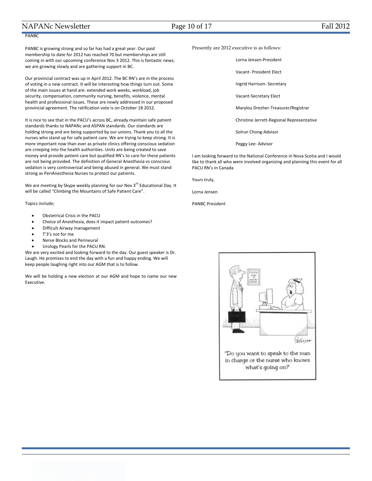### NAPANc Newsletter Page 10 of 17 Fall 2012

### PANBC

PANBC is growing strong and so far has had a great year. Our paid membership to date for 2012 has reached 70 but memberships are still coming in with our upcoming conference Nov 3 2012. This is fantastic news; we are growing slowly and are gathering support in BC.

Our provincial contract was up in April 2012. The BC RN's are in the process of voting in a new contract. It will be interesting how things turn out. Some of the main issues at hand are: extended work weeks, workload, job security, compensation, community nursing, benefits, violence, mental health and professional issues. These are newly addressed in our proposed provincial agreement. The ratification vote is on October 18 2012.

It is nice to see that in the PACU's across BC, already maintain safe patient standards thanks to NAPANc and ASPAN standards. Our standards are holding strong and are being supported by our unions. Thank you to all the nurses who stand up for safe patient care. We are trying to keep strong. It is more important now than ever as private clinics offering conscious sedation are creeping into the health authorities. Units are being created to save money and provide patient care but qualified RN's to care for these patients are not being provided. The definition of General Anesthesia vs conscious sedation is very controversial and being abused in general. We must stand strong as PeriAnesthesia Nurses to protect our patients.

We are meeting by Skype weekly planning for our Nov  $3^{rd}$  Educational Day. It will be called "Climbing the Mountains of Safe Patient Care".

Topics include;

- Obstetrical Crisis in the PACU
- Choice of Anesthesia, does it impact patient outcomes?
- Difficult Airway management
- T'3's not for me
- Nerve Blocks and Perineural
- Urology Pearls for the PACU RN.

We are very excited and looking forward to the day. Our guest speaker is Dr. Laugh. He promises to end the day with a fun and happy ending. We will keep people laughing right into our AGM that is to follow.

We will be holding a new election at our AGM and hope to name our new Executive.

Presently are 2012 executive is as follows:

Lorna Jensen-President Vacant- President Elect Ingrid Harrison- Secretary Vacant-Secretary Elect Marylou Dresher-Treasurer/Registrar

Christine Jerrett-Regional Representative

Solrun Chong-Advisor

Peggy Lee- Advisor

I am looking forward to the National Conference in Nova Scotia and I would like to thank all who were involved organizing and planning this event for all PACU RN's in Canada

Yours truly,

Lorna Jensen

PANBC President

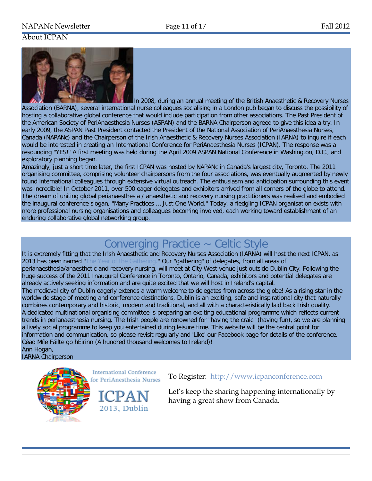## NAPANc Newsletter Page 11 of 17 Fall 2012

## About ICPAN



In 2008, during an annual meeting of the British Anaesthetic & Recovery Nurses Association (BARNA), several international nurse colleagues socialising in a London pub began to discuss the possibility of hosting a collaborative global conference that would include participation from other associations. The Past President of the American Society of PeriAnaesthesia Nurses (ASPAN) and the BARNA Chairperson agreed to give this idea a try. In early 2009, the ASPAN Past President contacted the President of the National Association of PeriAnaesthesia Nurses, Canada (NAPANc) and the Chairperson of the Irish Anaesthetic & Recovery Nurses Association (IARNA) to inquire if each would be interested in creating an International Conference for PeriAnaesthesia Nurses (ICPAN). The response was a resounding "YES!" A first meeting was held during the April 2009 ASPAN National Conference in Washington, D.C., and exploratory planning began.

Amazingly, just a short time later, the first ICPAN was hosted by NAPANc in Canada's largest city, Toronto. The 2011 organising committee, comprising volunteer chairpersons from the four associations, was eventually augmented by newly found international colleagues through extensive virtual outreach. The enthusiasm and anticipation surrounding this event was incredible! In October 2011, over 500 eager delegates and exhibitors arrived from all corners of the globe to attend. The dream of uniting global perianaesthesia / anaesthetic and recovery nursing practitioners was realised and embodied the inaugural conference slogan, "Many Practices … Just One World." Today, a fledgling ICPAN organisation exists with more professional nursing organisations and colleagues becoming involved, each working toward establishment of an enduring collaborative global networking group.

# Converging Practice ~ Celtic Style

It is extremely fitting that the Irish Anaesthetic and Recovery Nurses Association (IARNA) will host the next ICPAN, as 2013 has been named ["The Year of the Gathering."](http://www.icpanconference.com/index.php/the-gathering/) Our "gathering" of delegates, from all areas of perianaesthesia/anaesthetic and recovery nursing, will meet at City West venue just outside Dublin City. Following the huge success of the 2011 Inaugural Conference in Toronto, Ontario, Canada, exhibitors and potential delegates are already actively seeking information and are quite excited that we will host in Ireland's capital.

The medieval city of Dublin eagerly extends a warm welcome to delegates from across the globe! As a rising star in the worldwide stage of meeting and conference destinations, Dublin is an exciting, safe and inspirational city that naturally combines contemporary and historic, modern and traditional, and all with a characteristically laid back Irish quality. A dedicated multinational organising committee is preparing an exciting educational programme which reflects current trends in perianaesthesia nursing. The Irish people are renowned for "having the craic" (having fun), so we are planning a lively social programme to keep you entertained during leisure time. This website will be the central point for information and communication, so please revisit regularly and 'Like' our Facebook page for details of the conference. Céad Míle Fáilte go hÉirinn (A hundred thousand welcomes to Ireland)! Ann Hogan,

IARNA Chairperson



**International Conference** for PeriAnesthesia Nurses

2013. Dublin

To Register: [http://www.icpanconference.com](http://www.icpanconference.com/) 

Let's keep the sharing happening internationally by having a great show from Canada.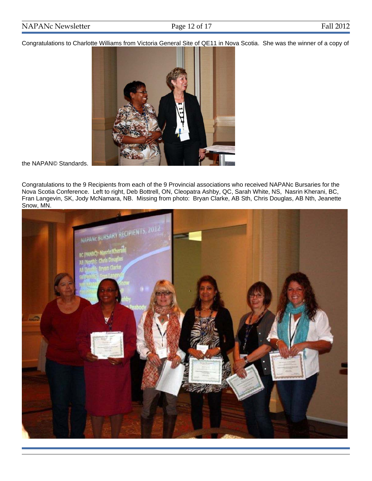Congratulations to Charlotte Williams from Victoria General Site of QE11 in Nova Scotia. She was the winner of a copy of



the NAPAN© Standards.

Congratulations to the 9 Recipients from each of the 9 Provincial associations who received NAPANc Bursaries for the Nova Scotia Conference. Left to right, Deb Bottrell, ON, Cleopatra Ashby, QC, Sarah White, NS, Nasrin Kherani, BC, Fran Langevin, SK, Jody McNamara, NB. Missing from photo: Bryan Clarke, AB Sth, Chris Douglas, AB Nth, Jeanette Snow, MN.

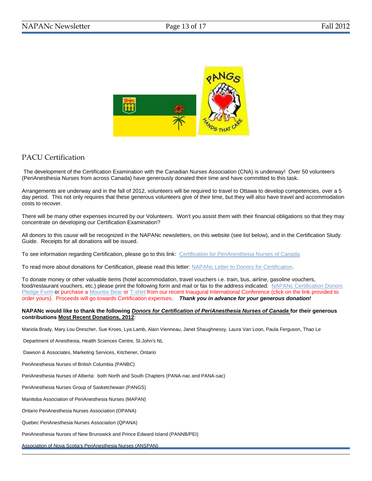

## PACU Certification

The development of the Certification Examination with the Canadian Nurses Association (CNA) is underway! Over 50 volunteers (PeriAnesthesia Nurses from across Canada) have generously donated their time and have committed to this task.

Arrangements are underway and in the fall of 2012, volunteers will be required to travel to Ottawa to develop competencies, over a 5 day period. This not only requires that these generous volunteers give of their time, but they will also have travel and accommodation costs to recover.

There will be many other expenses incurred by our Volunteers. Won't you assist them with their financial obligations so that they may concentrate on developing our Certification Examination?

All donors to this cause will be recognized in the NAPANc newsletters, on this website (see list below), and in the Certification Study Guide. Receipts for all donations will be issued.

To see information regarding Certification, please go to this link: [Certification for PeriAnesthesia Nurses of Canada](http://www.napanc.org/education/certification-examination)

To read more about donations for Certification, please read this letter: [NAPANc Letter to Donors for Certification.](http://www.napanc.org/assets/Forms/NAPANc%20Letter%20to%20Donors%20for%20Certification%20Fundraising%20Final.pdf)

To donate money or other valuable items (hotel accommodation, travel vouchers i.e. train, bus, airline, gasoline vouchers, food/restaurant vouchers, etc.) please print the following form and mail or fax to the address indicated: [NAPANc Certification Donors](http://www.napanc.org/assets/Forms/NAPANc%20Certification%20Fundraising%20Donor%20Pledge%20Form.pdf)  [Pledge Form](http://www.napanc.org/assets/Forms/NAPANc%20Certification%20Fundraising%20Donor%20Pledge%20Form.pdf) or purchase [a Mountie Bear](http://www.napanc.org/assets/Publications/Mountie%20Bears%20Advertisement.pdf) or [T-shirt](http://www.napanc.org/assets/Publications/T-Shirt%20Advertisement.pdf) from our recent Inaugural International Conference (click on the link provided to order yours). Proceeds will go towards Certification expenses. *Thank you in advance for your generous donation!* 

#### **NAPANc would like to thank the following** *Donors for Certification of PeriAnesthesia Nurses of Canada* **for their generous contributions Most Recent Donations, 2012**:

Mariola Brady, Mary Lou Drescher, Sue Kroes, Lya Lamb, Alain Vienneau, Janet Shaughnessy, Laura Van Loon, Paula Ferguson, Thao Le

Department of Anesthesia, Health Sciences Centre, St.John's NL

Dawson & Associates, Marketing Services, Kitchener, Ontario

PeriAnesthesia Nurses of British Columbia (PANBC)

PeriAnesthesia Nurses of Alberta: both North and South Chapters (PANA-nac and PANA-sac)

PeriAnesthesia Nurses Group of Sasketchewan (PANGS)

Manitoba Association of PeriAnesthesia Nurses (MAPAN)

Ontario PeriAnesthesia Nurses Association (OPANA)

Quebec PeriAnesthesia Nurses Association (QPANA)

PeriAnesthesia Nurses of New Brunswick and Prince Edward Island (PANNB/PEI)

Association of Nova Scotia's PeriAnesthesia Nurses (ANSPAN)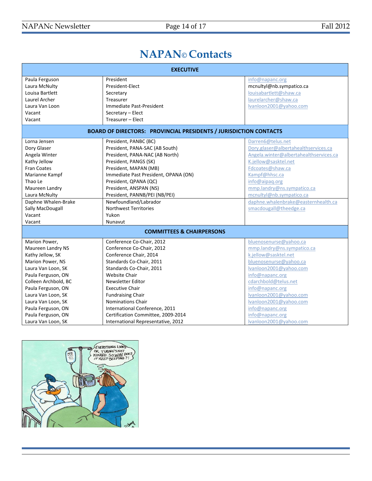# **NAPAN© Contacts**

| <b>EXECUTIVE</b>                                                         |                                      |                                        |  |
|--------------------------------------------------------------------------|--------------------------------------|----------------------------------------|--|
| Paula Ferguson                                                           | President                            | info@napanc.org                        |  |
| Laura McNulty                                                            | President-Elect                      | mcnultyl@nb.sympatico.ca               |  |
| Louisa Bartlett                                                          | Secretary                            | louisabartlett@shaw.ca                 |  |
| Laurel Archer                                                            | Treasurer                            | laurelarcher@shaw.ca                   |  |
| Laura Van Loon                                                           | Immediate Past-President             | Ivanloon2001@yahoo.com                 |  |
| Vacant                                                                   | Secretary - Elect                    |                                        |  |
| Vacant                                                                   | Treasurer - Elect                    |                                        |  |
| <b>BOARD OF DIRECTORS: PROVINCIAL PRESIDENTS / JURISDICTION CONTACTS</b> |                                      |                                        |  |
| Lorna Jensen                                                             | President, PANBC (BC)                | Darren6@telus.net                      |  |
| Dory Glaser                                                              | President, PANA-SAC (AB South)       | Dory.glaser@albertahealthservices.ca   |  |
| Angela Winter                                                            | President, PANA-NAC (AB North)       | Angela.winter@albertahealthservices.ca |  |
| Kathy Jellow                                                             | President, PANGS (SK)                | K.jellow@sasktel.net                   |  |
| <b>Fran Coates</b>                                                       | President, MAPAN (MB)                | Fdcoates@shaw.ca                       |  |
| Marianne Kampf                                                           | Immediate Past President, OPANA (ON) | Kampf@hhsc.ca                          |  |
| Thao Le                                                                  | President, QPANA (QC)                | info@aipaq.org                         |  |
| Maureen Landry                                                           | President, ANSPAN (NS)               | mmp.landry@ns.sympatico.ca             |  |
| Laura McNulty                                                            | President, PANNB/PEI (NB/PEI)        | mcnultyl@nb.sympatico.ca               |  |
| Daphne Whalen-Brake                                                      | Newfoundland/Labrador                | daphne.whalenbrake@easternhealth.ca    |  |
| Sally MacDougall                                                         | <b>Northwest Territories</b>         | smacdougall@theedge.ca                 |  |
| Vacant                                                                   | Yukon                                |                                        |  |
| Vacant                                                                   | Nunavut                              |                                        |  |
| <b>COMMITTEES &amp; CHAIRPERSONS</b>                                     |                                      |                                        |  |
| Marion Power,                                                            | Conference Co-Chair, 2012            | bluenosenurse@yahoo.ca                 |  |
| Maureen Landry NS                                                        | Conference Co-Chair, 2012            | mmp.landry@ns.sympatico.ca             |  |
| Kathy Jellow, SK                                                         | Conference Chair, 2014               | k.jellow@sasktel.net                   |  |
| Marion Power, NS                                                         | Standards Co-Chair, 2011             | bluenosenurse@yahoo.ca                 |  |
| Laura Van Loon, SK                                                       | Standards Co-Chair, 2011             | Ivanloon2001@vahoo.com                 |  |
| Paula Ferguson, ON                                                       | <b>Website Chair</b>                 | info@napanc.org                        |  |
| Colleen Archbold, BC                                                     | <b>Newsletter Editor</b>             | cdarchbold@telus.net                   |  |
| Paula Ferguson, ON                                                       | <b>Executive Chair</b>               | info@napanc.org                        |  |
| Laura Van Loon, SK                                                       | <b>Fundraising Chair</b>             | Ivanloon2001@yahoo.com                 |  |
| Laura Van Loon, SK                                                       | Nominations Chair                    | Ivanloon2001@yahoo.com                 |  |
| Paula Ferguson, ON                                                       | International Conference, 2011       | info@napanc.org                        |  |
| Paula Ferguson, ON                                                       | Certification Committee, 2009-2014   | info@napanc.org                        |  |
| Laura Van Loon, SK                                                       | International Representative, 2012   | Ivanloon2001@yahoo.com                 |  |

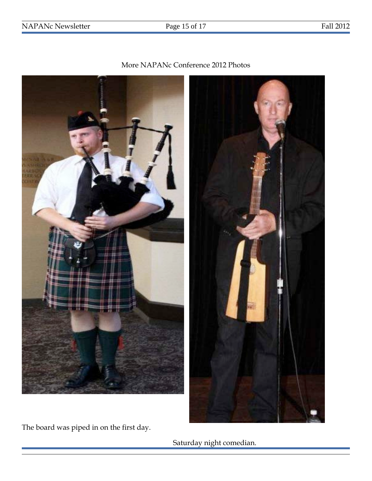

More NAPANc Conference 2012 Photos

The board was piped in on the first day.

Saturday night comedian.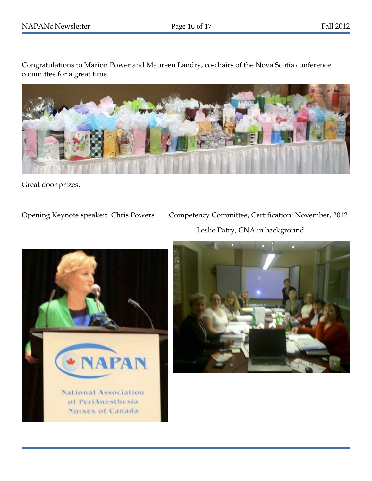Congratulations to Marion Power and Maureen Landry, co-chairs of the Nova Scotia conference committee for a great time.



Great door prizes.

Opening Keynote speaker: Chris Powers Competency Committee, Certification: November, 2012